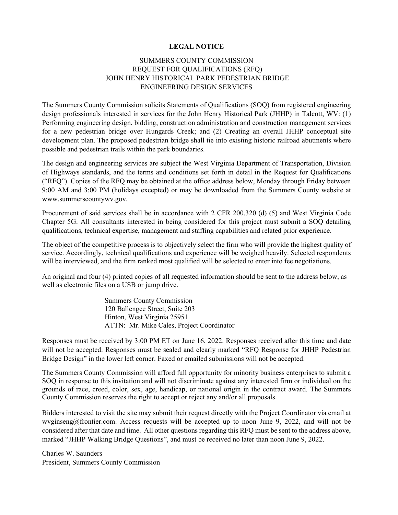## **LEGAL NOTICE**

## SUMMERS COUNTY COMMISSION REQUEST FOR QUALIFICATIONS (RFQ) JOHN HENRY HISTORICAL PARK PEDESTRIAN BRIDGE ENGINEERING DESIGN SERVICES

The Summers County Commission solicits Statements of Qualifications (SOQ) from registered engineering design professionals interested in services for the John Henry Historical Park (JHHP) in Talcott, WV: (1) Performing engineering design, bidding, construction administration and construction management services for a new pedestrian bridge over Hungards Creek; and (2) Creating an overall JHHP conceptual site development plan. The proposed pedestrian bridge shall tie into existing historic railroad abutments where possible and pedestrian trails within the park boundaries.

The design and engineering services are subject the West Virginia Department of Transportation, Division of Highways standards, and the terms and conditions set forth in detail in the Request for Qualifications ("RFQ"). Copies of the RFQ may be obtained at the office address below, Monday through Friday between 9:00 AM and 3:00 PM (holidays excepted) or may be downloaded from the Summers County website at www.summerscountywv.gov.

Procurement of said services shall be in accordance with 2 CFR 200.320 (d) (5) and West Virginia Code Chapter 5G. All consultants interested in being considered for this project must submit a SOQ detailing qualifications, technical expertise, management and staffing capabilities and related prior experience.

The object of the competitive process is to objectively select the firm who will provide the highest quality of service. Accordingly, technical qualifications and experience will be weighed heavily. Selected respondents will be interviewed, and the firm ranked most qualified will be selected to enter into fee negotiations.

An original and four (4) printed copies of all requested information should be sent to the address below, as well as electronic files on a USB or jump drive.

> Summers County Commission 120 Ballengee Street, Suite 203 Hinton, West Virginia 25951 ATTN: Mr. Mike Cales, Project Coordinator

Responses must be received by 3:00 PM ET on June 16, 2022. Responses received after this time and date will not be accepted. Responses must be sealed and clearly marked "RFQ Response for JHHP Pedestrian Bridge Design" in the lower left corner. Faxed or emailed submissions will not be accepted.

The Summers County Commission will afford full opportunity for minority business enterprises to submit a SOQ in response to this invitation and will not discriminate against any interested firm or individual on the grounds of race, creed, color, sex, age, handicap, or national origin in the contract award. The Summers County Commission reserves the right to accept or reject any and/or all proposals.

Bidders interested to visit the site may submit their request directly with the Project Coordinator via email at wvginseng@frontier.com. Access requests will be accepted up to noon June 9, 2022, and will not be considered after that date and time. All other questions regarding this RFQ must be sent to the address above, marked "JHHP Walking Bridge Questions", and must be received no later than noon June 9, 2022.

Charles W. Saunders President, Summers County Commission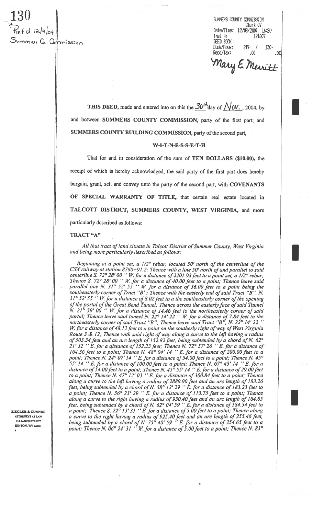Clerk 07<br>12/08/2004 Date/Time: 12/08/2004<br>1914 Test Hr. (12/08/2004) mmer Co. Commission

SUNNERS COUNTY COMMISSION date/Time: 12/08/2004 16:20<br>Inst #: 121607 Inst #: DEED BOOK ook/P3ge: 217- / .130- Recd/Tax: .00 .00

Mary E Merritt

THIS DEED, made and entered into on this the  $30^{+4}$ day of  $\sqrt{0}V$ ., 2004, by and between SUMMERS COUNTY COMMISSION, party of the first part; and SUMMERS COUNTY BUILDING COMMISSION, party of the second part,

## W-I-T-N-E-S-S-E-T-H

That for and in consideration of the sum of TEN DOLLARS (\$10.00), the receipt of which is hereby acknowledged, the said party of the first part does hereby bargain, grant, sell and convey unto the party of the second part, with COVENANTS OF SPECIAL WARRANTY OF TITLE, that certain real estate located in TALCOTT DISTRICT, SUMMERS COUNTY, WEST VIRGINIA, and more particularly described as follows:

## TRACT "A"

All that tract of land situate in Talcott District of Summer County, West Virginia and being more particularly described as follows:

Beginning at a point set, a 1/2" rebar, located 50' north of the centerline of the  $CSX$  railway at station 8760+91.2; Thence with a line 50' north of and parallel to said centerline S. 72° 28' 00  $\cdot^{\prime}$  W. for a distance of 2201.93 feet to a point set, a 1/2" rebar; Thence S. 72° 28' 00 ' W. for a distance of 40.00 feet to a point; Thence leave said parallel line N. 31° 52' 55 " W. for a distance of 36.00 feet to a point being the southeasterly corner of Tract "B"; Thence with the easterly end of said Tract "B", N.<br>31° 52' 55 ''W. for a distance of 8.02 feet to a the southeasterly corner of the opening of the portal of the Great Bend Tunnel; Thence across the easterly face of said Tunnel N. 21<sup>o</sup> 59' 00  $\degree$  W. for a distance of 14.46 feet to the northeasterly corner of said portal; Thence leave said tunnel N.  $22^{\circ}$  14'  $22^{\circ}$  '' W. for a distance of 7.84 feet to the northeasterly corner of said Tract "B"; Thence leave said Tract "B", N. 22 $^{\circ}$  14' 22 W. for a distance of 48.12 feet to a point on the southerly right of way of West Virginia Route 3 & 12; Thence with said right of way along a curve to the left having a radius of 503.34 feet and an arc length of 152.82 feet, being subtended by a chord of N. 62° 21' 32  $\cdot$  E. for a distance of 152.23 feet; Thence N. 72° 57' 26  $\cdot$  E. for a distance of 164.36 feet to a point; Thence N.  $48^{\circ}$  04' 14 " E. for a distance of 200.00 feet to a point; Thence N. 24° 07' 14  $\cdot$  E. for a distance of 54.00 feet to a point; Thence N. 45° 55' 14  $\cdot$  E. for a distance of 100.00 feet to a point; Thence N. 67° 43' 14  $\cdot$  E. for a distance of 54.00 feet to a point; Thence N.  $45^{\circ}$  55' 14  $^{\circ}$  E. for a distance of 29.00 feet to a point; Thence N. 47° 12' 03  $\cdot$  E. for a distance of 300.84 feet to a point; Thence along a curve to the left having a radius of 2889.90 feet and an arc length of 183.26 feet, being subtended by a chord of N. 58 $\degree$ 12' 29 " E. for a distance of 183.23 feet to a point; Thence N. 56 $^{\circ}$  23' 29  $^{\prime\prime}$  E. for a distance of 113.75 feet to a point; Thence along a curve to the right having a radius of 930.40 feet and an arc length of 184.85 feet, being subtended by a chord of N. 62° 04' 59  $"E$ . for a distance of 184.54 feet to **ZIEGLER & GUNNOE**  $\parallel$  a point; Thence S. 22<sup>o</sup> 13' 31 " E. for a distance of 5.00 feet to a point; Thence along ATLAW  $\parallel$  a curve to the right having a radius of 925.40 feet and an arc length of 255.46 feet, 110 JAMES STREET being subtended by a chord of N. 75° 40' 59  $\cdot$  E. for a distance of 254.65 feet to a point; Thence N. 83°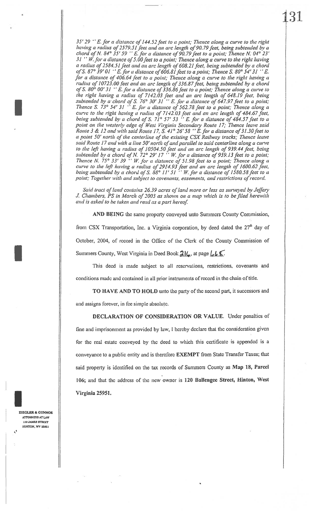$35'$  29  $\cdot$  E. for a distance of 144.52 feet to a point; Thence along a curve to the right having a radius of 2579.51 feet and an arc length of 90.79 feet, being subtended by a chord of N. 84° 35' 59  $"$  E. for a distance of 90.79 feet to a point; Thence N. 04° 23' 31 "W. for a distance of 5.00 feet to a point; Thence along a curve to the right having a radius of 2584.51 feet and an arc length of 608.21 feet, being subtended by a chord of S. 87° 39′ 01  $^{\prime\prime}$  E. for a distance of 606.81 feet to a point; Thence S. 80° 54′ 31  $^{\prime\prime}$  E. for a distance of 406.64 feet to a point; Thence along a curve to the right having a radius of 10723.00 feet and an arc length of 336.87 feet, being subtended by a chord of S. 80 $^{\circ}$  00' 31  $^{\prime\prime}$  E. for a distance of 336.86 feet to a point; Thence along a curve to the right having a radius of 7142.03 feet and an arc length of 648.19 feet, being curve to the right having a radius of 7142.03 feet and an arc length of 484.67 feet, by a chord of S. 76° 30' 31 " E. for a distance of 647.97 feet to a point; Thence S. 73° 54' 31  $\cdot$  E. for a distance of 562.78 feet to a point; Thence along a being subtended by a chord of S. 71° 57' 53  $\cdot$  E. for a distance of 484.57 feet to a point on the westerly edge of West Virginia Secondary Route 17; Thence leave said Route 3 & 12 and with said Route 17, S.  $41^{\circ}$  26' 58 "E. for a distance of 31.30 feet to a point 50' north of the centerline of the existing C'SX Railway tracks; Thence leave said Route 17 and with a line 50' north of and parallel to said centerline along a curve to the left having a radius of 10504.50 feet and an arc length of 939.44 feet, being subtended by a chord of N.  $72^{\circ}$  29' 17  $\cdot$  W. for a distance of 939.13 feet to a point; Thence N. 75° 33' 39 '' W. for a distance of 51.98 feet to a point; Thence along a curve to the left having a radius of 2914.93 feet and an arc length of 1600.62 feel. being subtended by a chord of S. 88° 11' 51  $\cdots$  W. for a distance of 1580.58 feet to a point; Together with and subject to covenants, easements, and restrictions of record.

Said tract of land contains 26.39 acres of land more or less as surveyed by Jeffery J. Chambers, PS in March of 2003 as shown on a map which is to be filed herewith and is asked to be taken and read as a part hereof.

AND BEING the same property conveyed unto Summers County Commission, froni CSX Transportation, Inc. a Virginia corporation, by deed dated the 27" day of October, 2004, of record in the Office of the Clerk of the County Commission of Summers County, West Virginia in Deed Book  $21\ell_0$ , at page  $\lfloor \ell_0 \rfloor$ .

This deed is made subject to all reservations, restrictions, covenants and conditions made and contained in all prior instruments of record in the chain of title.

To HAVE AND TO HOLD unto the party of the second part, it successors and and assigns forever, in fee simple absolute.

DECLARATION OF CONSIDERATION OR VALUE. Under penalties of fine and imprisonment as provided by law, <sup>I</sup> hereby declare that the consideration given for the real estate conveyed by the deed to which this certificate is appended is a conveyance to a public entity and is therefore EXEMPT from State Transfer Taxes; that said property is identified on the tax records of Summers County as Map 18, Parcel 106; and that the address of the new owner is 120 Ballengee Street, Hinton, West Virginia 25951.

ZIEGLER & GLJNNOE ATTORNEYS AT LAW 110 JAMES STREET HINTON. WV 25951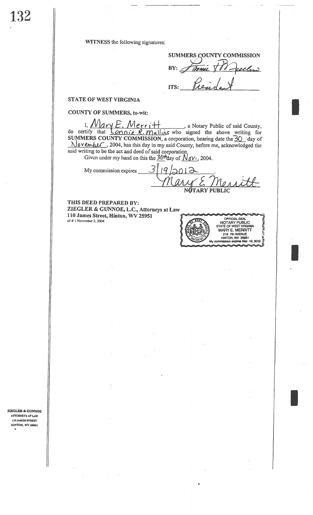132

WITNESS the following signatures:

**SUMMERS COUNTY COMMISSION**  $BY: \mathcal{A}$ Omic ule  $\mathcal{L}$ 

**STATE OF WEST VIRGINIA** 

**COUNTY OF SUMMERS, to-wit:** 

1. Nary E. Merritt , a Notary Public of said County, do certify that <u>Lonnie R. Mullins</u> who signed the above writing for SUMMERS COUNTY COMMISSION, a corporation, bearing date the 30 day of November, 2004, has this day in my said County, before me, acknowledged the said writing to be the act and deed of said corporation,

ITS:

Given under my hand on this the  $30^{\mu}$ tday of  $N_{0}V_{\ell}$ , 2004.

3  $\boldsymbol{q}$ My commission expires 2012 **NOTARY PUBLIC** 

THIS DEED PREPARED BY: ZIEGLER & GUNNOE, L.C., Attorneys at Law 110 James Street, Hinton, WV 25951 al/ $# 1$  November 2, 2004



ZIEGLER & GUNNOE ATTORNEYS AT LAW 110 JAMES STREET **HINTON, WV 25951**